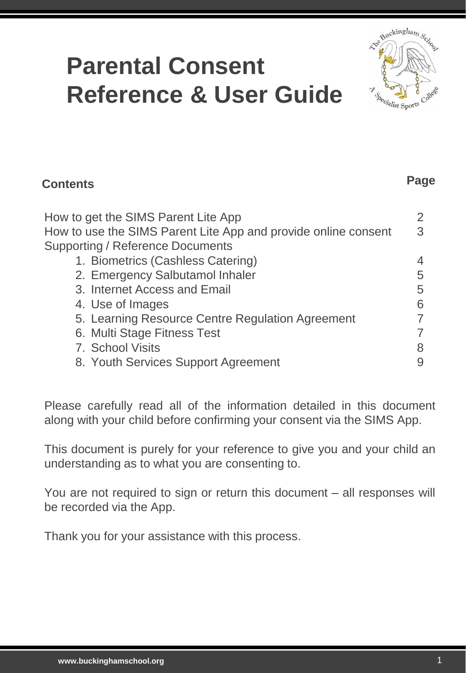# **Parental Consent Reference & User Guide**



**Page**

| <b>Contents</b>                                                | Page |
|----------------------------------------------------------------|------|
| How to get the SIMS Parent Lite App                            |      |
| How to use the SIMS Parent Lite App and provide online consent | 3    |
| <b>Supporting / Reference Documents</b>                        |      |
| 1. Biometrics (Cashless Catering)                              |      |
| 2. Emergency Salbutamol Inhaler                                | 5    |
| 3. Internet Access and Email                                   | 5    |
| 4. Use of Images                                               | 6    |
| 5. Learning Resource Centre Regulation Agreement               |      |
| 6. Multi Stage Fitness Test                                    |      |
| 7. School Visits                                               |      |
| 8. Youth Services Support Agreement                            |      |

Please carefully read all of the information detailed in this document along with your child before confirming your consent via the SIMS App.

This document is purely for your reference to give you and your child an understanding as to what you are consenting to.

You are not required to sign or return this document – all responses will be recorded via the App.

Thank you for your assistance with this process.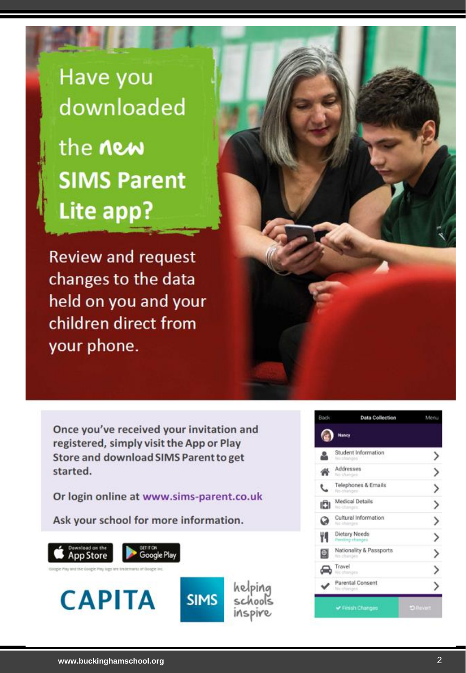Have you downloaded the **new SIMS Parent** Lite app?

**Review and request** changes to the data held on you and your children direct from your phone.

Once you've received your invitation and registered, simply visit the App or Play Store and download SIMS Parent to get started.

Or login online at www.sims-parent.co.uk

helping

schools

Inspire

Ask your school for more information.



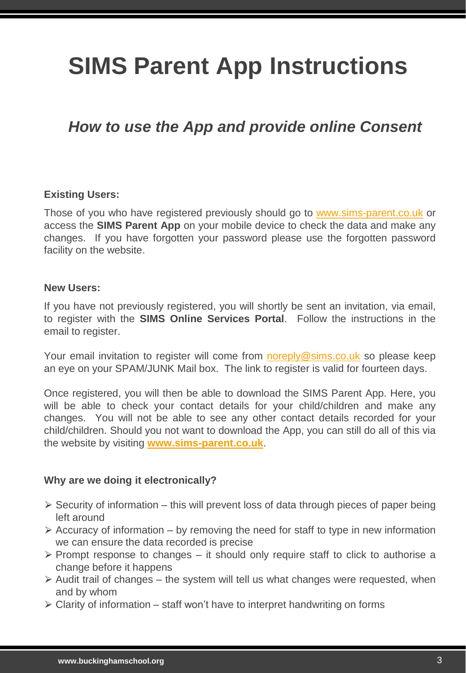# **SIMS Parent App Instructions**

# *How to use the App and provide online Consent*

## **Existing Users:**

Those of you who have registered previously should go to [www.sims-parent.co.uk](http://www.sims-parent.co.uk/) or access the **SIMS Parent App** on your mobile device to check the data and make any changes. If you have forgotten your password please use the forgotten password facility on the website.

#### **New Users:**

If you have not previously registered, you will shortly be sent an invitation, via email, to register with the **SIMS Online Services Portal**. Follow the instructions in the email to register.

Your email invitation to register will come from [noreply@sims.co.uk](mailto:noreply@sims.co.uk) so please keep an eye on your SPAM/JUNK Mail box. The link to register is valid for fourteen days.

Once registered, you will then be able to download the SIMS Parent App. Here, you will be able to check your contact details for your child/children and make any changes. You will not be able to see any other contact details recorded for your child/children. Should you not want to download the App, you can still do all of this via the website by visiting **[www.sims-parent.co.uk](http://www.sims-parent.co.uk/)**.

# **Why are we doing it electronically?**

- $\triangleright$  Security of information this will prevent loss of data through pieces of paper being left around
- $\geq$  Accuracy of information by removing the need for staff to type in new information we can ensure the data recorded is precise
- $\triangleright$  Prompt response to changes it should only require staff to click to authorise a change before it happens
- $\ge$  Audit trail of changes the system will tell us what changes were requested, when and by whom
- $\geq$  Clarity of information staff won't have to interpret handwriting on forms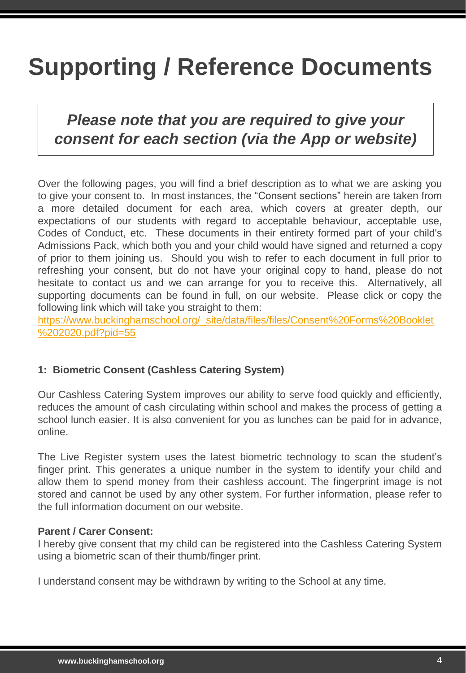# **Supporting / Reference Documents**

# *Please note that you are required to give your consent for each section (via the App or website)*

Over the following pages, you will find a brief description as to what we are asking you to give your consent to. In most instances, the "Consent sections" herein are taken from a more detailed document for each area, which covers at greater depth, our expectations of our students with regard to acceptable behaviour, acceptable use, Codes of Conduct, etc. These documents in their entirety formed part of your child's Admissions Pack, which both you and your child would have signed and returned a copy of prior to them joining us. Should you wish to refer to each document in full prior to refreshing your consent, but do not have your original copy to hand, please do not hesitate to contact us and we can arrange for you to receive this. Alternatively, all supporting documents can be found in full, on our website. Please click or copy the following link which will take you straight to them:

[https://www.buckinghamschool.org/\\_site/data/files/files/Consent%20Forms%20Booklet](https://www.buckinghamschool.org/_site/data/files/files/Consent Forms Booklet 2020.pdf?pid=55) %202020.pdf?pid=55

# **1: Biometric Consent (Cashless Catering System)**

Our Cashless Catering System improves our ability to serve food quickly and efficiently, reduces the amount of cash circulating within school and makes the process of getting a school lunch easier. It is also convenient for you as lunches can be paid for in advance, online.

The Live Register system uses the latest biometric technology to scan the student's finger print. This generates a unique number in the system to identify your child and allow them to spend money from their cashless account. The fingerprint image is not stored and cannot be used by any other system. For further information, please refer to the full information document on our website.

#### **Parent / Carer Consent:**

I hereby give consent that my child can be registered into the Cashless Catering System using a biometric scan of their thumb/finger print.

I understand consent may be withdrawn by writing to the School at any time.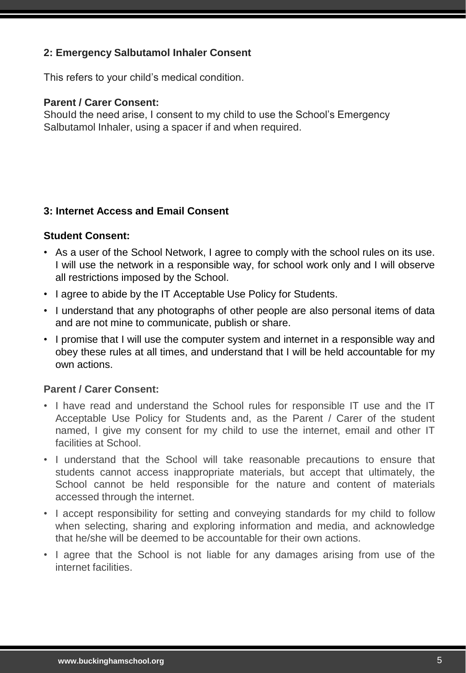# **2: Emergency Salbutamol Inhaler Consent**

This refers to your child's medical condition.

#### **Parent / Carer Consent:**

Should the need arise, I consent to my child to use the School's Emergency Salbutamol Inhaler, using a spacer if and when required.

## **3: Internet Access and Email Consent**

#### **Student Consent:**

- As a user of the School Network, I agree to comply with the school rules on its use. I will use the network in a responsible way, for school work only and I will observe all restrictions imposed by the School.
- I agree to abide by the IT Acceptable Use Policy for Students.
- I understand that any photographs of other people are also personal items of data and are not mine to communicate, publish or share.
- I promise that I will use the computer system and internet in a responsible way and obey these rules at all times, and understand that I will be held accountable for my own actions.

# **Parent / Carer Consent:**

- I have read and understand the School rules for responsible IT use and the IT Acceptable Use Policy for Students and, as the Parent / Carer of the student named, I give my consent for my child to use the internet, email and other IT facilities at School.
- I understand that the School will take reasonable precautions to ensure that students cannot access inappropriate materials, but accept that ultimately, the School cannot be held responsible for the nature and content of materials accessed through the internet.
- I accept responsibility for setting and conveying standards for my child to follow when selecting, sharing and exploring information and media, and acknowledge that he/she will be deemed to be accountable for their own actions.
- I agree that the School is not liable for any damages arising from use of the internet facilities.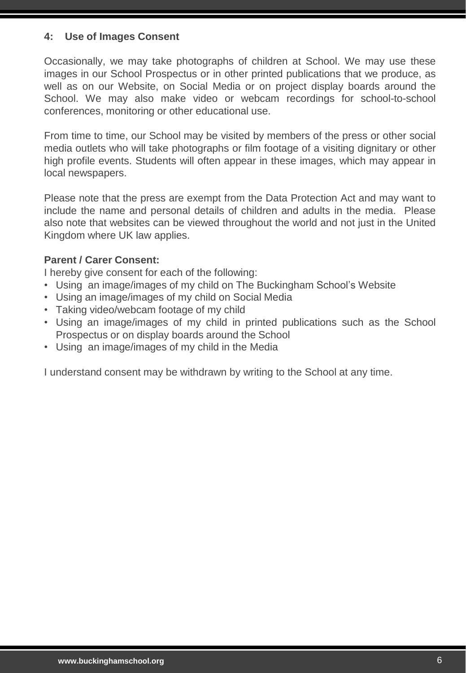## **4: Use of Images Consent**

Occasionally, we may take photographs of children at School. We may use these images in our School Prospectus or in other printed publications that we produce, as well as on our Website, on Social Media or on project display boards around the School. We may also make video or webcam recordings for school-to-school conferences, monitoring or other educational use.

From time to time, our School may be visited by members of the press or other social media outlets who will take photographs or film footage of a visiting dignitary or other high profile events. Students will often appear in these images, which may appear in local newspapers.

Please note that the press are exempt from the Data Protection Act and may want to include the name and personal details of children and adults in the media. Please also note that websites can be viewed throughout the world and not just in the United Kingdom where UK law applies.

## **Parent / Carer Consent:**

I hereby give consent for each of the following:

- Using an image/images of my child on The Buckingham School's Website
- Using an image/images of my child on Social Media
- Taking video/webcam footage of my child
- Using an image/images of my child in printed publications such as the School Prospectus or on display boards around the School
- Using an image/images of my child in the Media

I understand consent may be withdrawn by writing to the School at any time.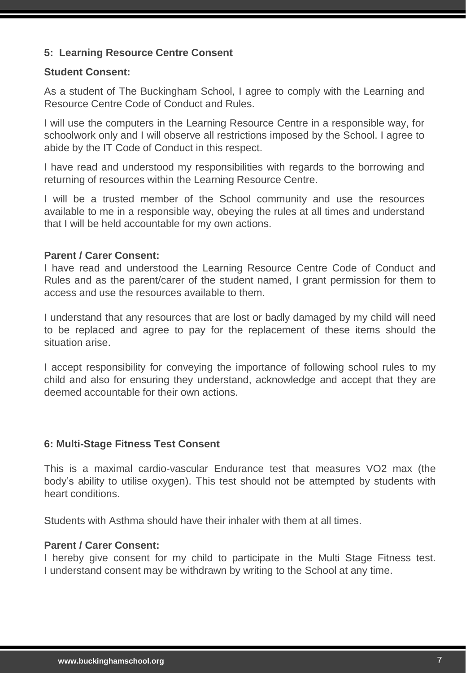# **5: Learning Resource Centre Consent**

#### **Student Consent:**

As a student of The Buckingham School, I agree to comply with the Learning and Resource Centre Code of Conduct and Rules.

I will use the computers in the Learning Resource Centre in a responsible way, for schoolwork only and I will observe all restrictions imposed by the School. I agree to abide by the IT Code of Conduct in this respect.

I have read and understood my responsibilities with regards to the borrowing and returning of resources within the Learning Resource Centre.

I will be a trusted member of the School community and use the resources available to me in a responsible way, obeying the rules at all times and understand that I will be held accountable for my own actions.

## **Parent / Carer Consent:**

I have read and understood the Learning Resource Centre Code of Conduct and Rules and as the parent/carer of the student named, I grant permission for them to access and use the resources available to them.

I understand that any resources that are lost or badly damaged by my child will need to be replaced and agree to pay for the replacement of these items should the situation arise.

I accept responsibility for conveying the importance of following school rules to my child and also for ensuring they understand, acknowledge and accept that they are deemed accountable for their own actions.

#### **6: Multi-Stage Fitness Test Consent**

This is a maximal cardio-vascular Endurance test that measures VO2 max (the body's ability to utilise oxygen). This test should not be attempted by students with heart conditions.

Students with Asthma should have their inhaler with them at all times.

#### **Parent / Carer Consent:**

I hereby give consent for my child to participate in the Multi Stage Fitness test. I understand consent may be withdrawn by writing to the School at any time.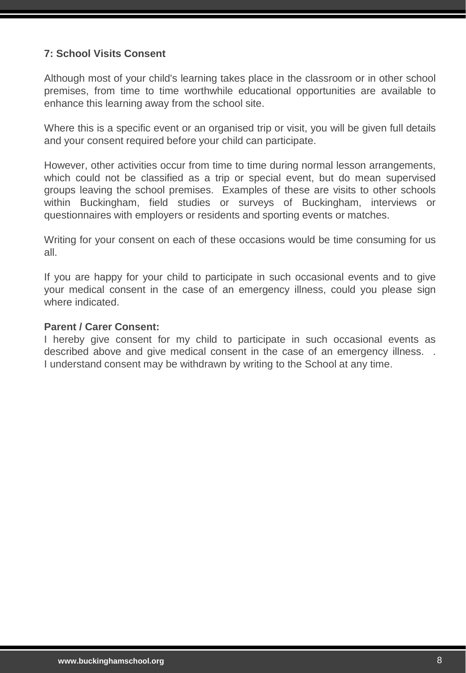# **7: School Visits Consent**

Although most of your child's learning takes place in the classroom or in other school premises, from time to time worthwhile educational opportunities are available to enhance this learning away from the school site.

Where this is a specific event or an organised trip or visit, you will be given full details and your consent required before your child can participate.

However, other activities occur from time to time during normal lesson arrangements, which could not be classified as a trip or special event, but do mean supervised groups leaving the school premises. Examples of these are visits to other schools within Buckingham, field studies or surveys of Buckingham, interviews or questionnaires with employers or residents and sporting events or matches.

Writing for your consent on each of these occasions would be time consuming for us all.

If you are happy for your child to participate in such occasional events and to give your medical consent in the case of an emergency illness, could you please sign where indicated.

#### **Parent / Carer Consent:**

I hereby give consent for my child to participate in such occasional events as described above and give medical consent in the case of an emergency illness. . I understand consent may be withdrawn by writing to the School at any time.